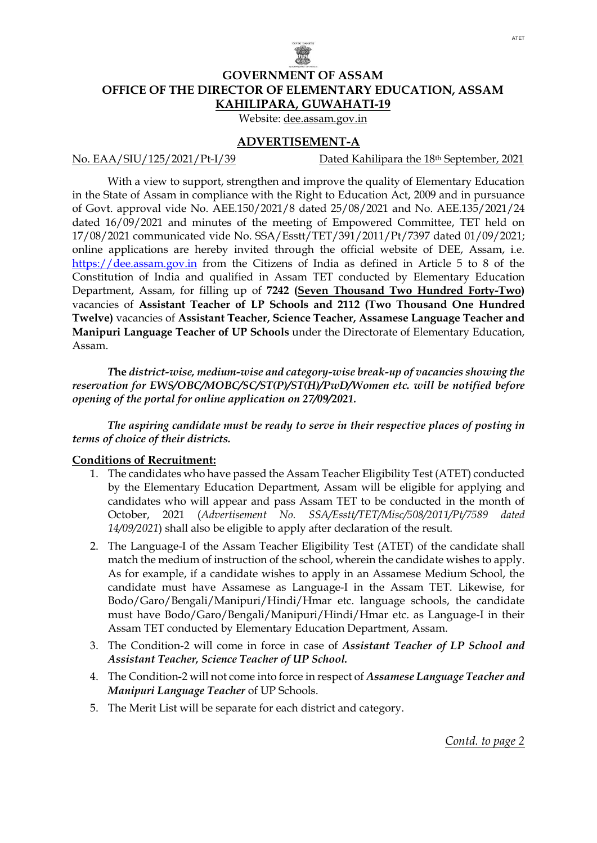

## **GOVERNMENT OF ASSAM OFFICE OF THE DIRECTOR OF ELEMENTARY EDUCATION, ASSAM KAHILIPARA, GUWAHATI-19**

Website: dee.assam.gov.in

#### **ADVERTISEMENT-A**

No. EAA/SIU/125/2021/Pt-I/39 Dated Kahilipara the 18<sup>th</sup> September, 2021

With a view to support, strengthen and improve the quality of Elementary Education in the State of Assam in compliance with the Right to Education Act, 2009 and in pursuance of Govt. approval vide No. AEE.150/2021/8 dated 25/08/2021 and No. AEE.135/2021/24 dated 16/09/2021 and minutes of the meeting of Empowered Committee, TET held on 17/08/2021 communicated vide No. SSA/Esstt/TET/391/2011/Pt/7397 dated 01/09/2021; online applications are hereby invited through the official website of DEE, Assam, i.e. [https://dee.assam.gov.in](https://dee.assam.gov.in/) from the Citizens of India as defined in Article 5 to 8 of the Constitution of India and qualified in Assam TET conducted by Elementary Education Department, Assam, for filling up of **7242 (Seven Thousand Two Hundred Forty-Two)** vacancies of **Assistant Teacher of LP Schools and 2112 (Two Thousand One Hundred Twelve)** vacancies of **Assistant Teacher, Science Teacher, Assamese Language Teacher and Manipuri Language Teacher of UP Schools** under the Directorate of Elementary Education, Assam.

*T***he** *district-wise, medium-wise and category-wise break-up of vacancies showing the reservation for EWS/OBC/MOBC/SC/ST(P)/ST(H)/PwD/Women etc. will be notified before opening of the portal for online application on 27/09/2021.*

*The aspiring candidate must be ready to serve in their respective places of posting in terms of choice of their districts.*

#### **Conditions of Recruitment:**

- 1. The candidates who have passed the Assam Teacher Eligibility Test (ATET) conducted by the Elementary Education Department, Assam will be eligible for applying and candidates who will appear and pass Assam TET to be conducted in the month of October, 2021 (*Advertisement No. SSA/Esstt/TET/Misc/508/2011/Pt/7589 dated 14/09/2021*) shall also be eligible to apply after declaration of the result.
- 2. The Language-I of the Assam Teacher Eligibility Test (ATET) of the candidate shall match the medium of instruction of the school, wherein the candidate wishes to apply. As for example, if a candidate wishes to apply in an Assamese Medium School, the candidate must have Assamese as Language-I in the Assam TET. Likewise, for Bodo/Garo/Bengali/Manipuri/Hindi/Hmar etc. language schools, the candidate must have Bodo/Garo/Bengali/Manipuri/Hindi/Hmar etc. as Language-I in their Assam TET conducted by Elementary Education Department, Assam.
- 3. The Condition-2 will come in force in case of *Assistant Teacher of LP School and Assistant Teacher, Science Teacher of UP School.*
- 4. The Condition-2 will not come into force in respect of *Assamese Language Teacher and Manipuri Language Teacher* of UP Schools.
- 5. The Merit List will be separate for each district and category.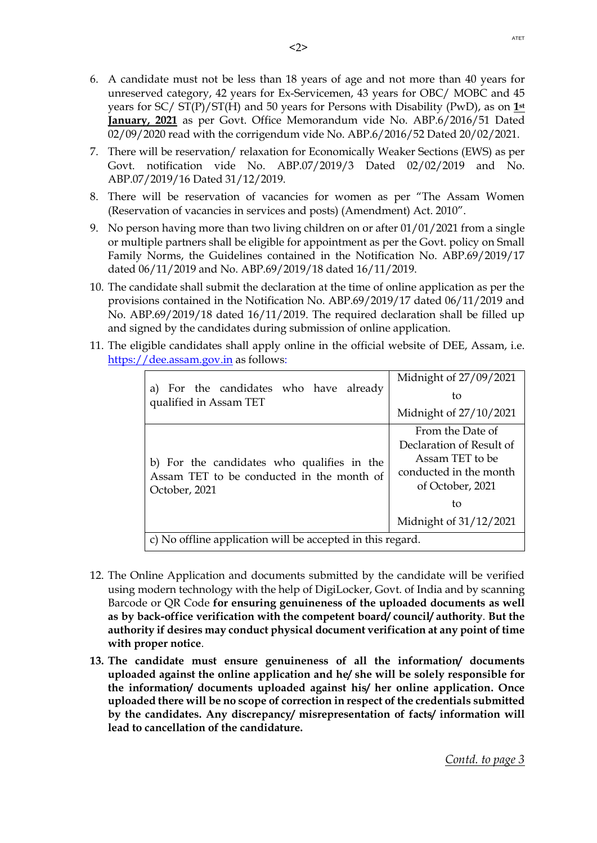- 6. A candidate must not be less than 18 years of age and not more than 40 years for unreserved category, 42 years for Ex-Servicemen, 43 years for OBC/ MOBC and 45 years for SC/ ST(P)/ST(H) and 50 years for Persons with Disability (PwD), as on **1st January, 2021** as per Govt. Office Memorandum vide No. ABP.6/2016/51 Dated 02/09/2020 read with the corrigendum vide No. ABP.6/2016/52 Dated 20/02/2021.
- 7. There will be reservation/ relaxation for Economically Weaker Sections (EWS) as per Govt. notification vide No. ABP.07/2019/3 Dated 02/02/2019 and No. ABP.07/2019/16 Dated 31/12/2019.
- 8. There will be reservation of vacancies for women as per "The Assam Women (Reservation of vacancies in services and posts) (Amendment) Act. 2010".
- 9. No person having more than two living children on or after 01/01/2021 from a single or multiple partners shall be eligible for appointment as per the Govt. policy on Small Family Norms, the Guidelines contained in the Notification No. ABP.69/2019/17 dated 06/11/2019 and No. ABP.69/2019/18 dated 16/11/2019.
- 10. The candidate shall submit the declaration at the time of online application as per the provisions contained in the Notification No. ABP.69/2019/17 dated 06/11/2019 and No. ABP.69/2019/18 dated 16/11/2019. The required declaration shall be filled up and signed by the candidates during submission of online application.
- 11. The eligible candidates shall apply online in the official website of DEE, Assam, i.e. [https://dee.assam.gov.in](https://dee.assam.gov.in/) as follows:

|                                                                                                          | Midnight of 27/09/2021                                                                                        |  |
|----------------------------------------------------------------------------------------------------------|---------------------------------------------------------------------------------------------------------------|--|
| For the candidates who have already<br>a)<br>qualified in Assam TET                                      | tο                                                                                                            |  |
|                                                                                                          | Midnight of 27/10/2021                                                                                        |  |
| b) For the candidates who qualifies in the<br>Assam TET to be conducted in the month of<br>October, 2021 | From the Date of<br>Declaration of Result of<br>Assam TET to be<br>conducted in the month<br>of October, 2021 |  |
|                                                                                                          | tο                                                                                                            |  |
|                                                                                                          | Midnight of 31/12/2021                                                                                        |  |
| c) No offline application will be accepted in this regard.                                               |                                                                                                               |  |

- 12. The Online Application and documents submitted by the candidate will be verified using modern technology with the help of DigiLocker, Govt. of India and by scanning Barcode or QR Code **for ensuring genuineness of the uploaded documents as well as by back-office verification with the competent board/ council/ authority**. **But the authority if desires may conduct physical document verification at any point of time with proper notice**.
- **13. The candidate must ensure genuineness of all the information/ documents uploaded against the online application and he/ she will be solely responsible for the information/ documents uploaded against his/ her online application. Once uploaded there will be no scope of correction in respect of the credentials submitted by the candidates. Any discrepancy/ misrepresentation of facts/ information will lead to cancellation of the candidature.**

*Contd. to page 3*

ATET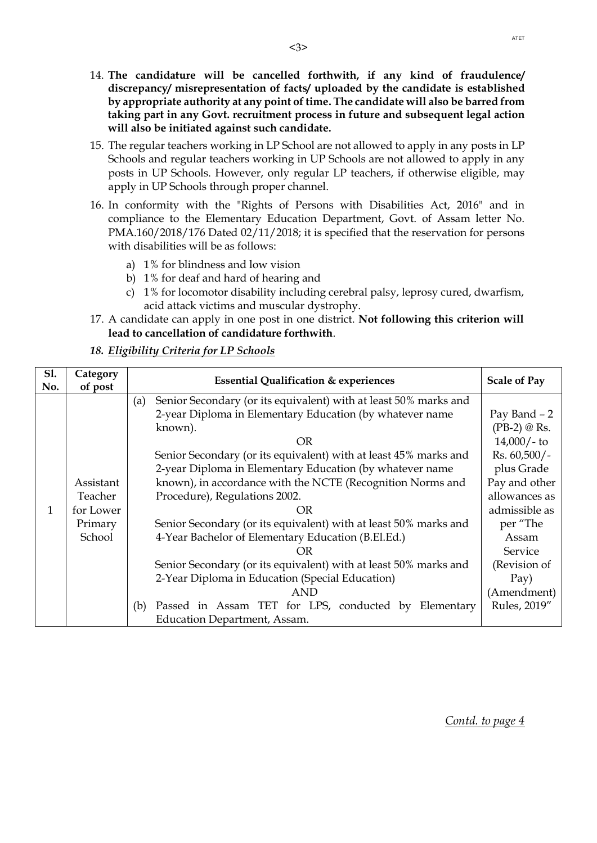- 14. **The candidature will be cancelled forthwith, if any kind of fraudulence/ discrepancy/ misrepresentation of facts/ uploaded by the candidate is established by appropriate authority at any point of time. The candidate will also be barred from taking part in any Govt. recruitment process in future and subsequent legal action will also be initiated against such candidate.**
- 15. The regular teachers working in LP School are not allowed to apply in any posts in LP Schools and regular teachers working in UP Schools are not allowed to apply in any posts in UP Schools. However, only regular LP teachers, if otherwise eligible, may apply in UP Schools through proper channel.
- 16. In conformity with the "Rights of Persons with Disabilities Act, 2016" and in compliance to the Elementary Education Department, Govt. of Assam letter No. PMA.160/2018/176 Dated 02/11/2018; it is specified that the reservation for persons with disabilities will be as follows:
	- a) 1% for blindness and low vision
	- b) 1% for deaf and hard of hearing and
	- c) 1% for locomotor disability including cerebral palsy, leprosy cured, dwarfism, acid attack victims and muscular dystrophy.
- 17. A candidate can apply in one post in one district. **Not following this criterion will lead to cancellation of candidature forthwith**.

## *18. Eligibility Criteria for LP Schools*

| S1.       | Category                                                                                                            | <b>Essential Qualification &amp; experiences</b>                        | <b>Scale of Pay</b>         |  |
|-----------|---------------------------------------------------------------------------------------------------------------------|-------------------------------------------------------------------------|-----------------------------|--|
| No.       | of post                                                                                                             |                                                                         |                             |  |
|           |                                                                                                                     | Senior Secondary (or its equivalent) with at least 50% marks and<br>(a) |                             |  |
|           |                                                                                                                     | 2-year Diploma in Elementary Education (by whatever name                | Pay Band - 2                |  |
|           |                                                                                                                     | known).                                                                 | $(PB-2) \otimes \text{Rs}.$ |  |
|           |                                                                                                                     | <b>OR</b>                                                               | $14,000/-$ to               |  |
|           |                                                                                                                     | Senior Secondary (or its equivalent) with at least 45% marks and        | $Rs. 60,500/-$              |  |
|           |                                                                                                                     | 2-year Diploma in Elementary Education (by whatever name                | plus Grade                  |  |
| Assistant |                                                                                                                     | known), in accordance with the NCTE (Recognition Norms and              | Pay and other               |  |
|           | Teacher                                                                                                             | Procedure), Regulations 2002.                                           | allowances as               |  |
| 1         | for Lower<br>OR<br>Senior Secondary (or its equivalent) with at least 50% marks and<br>Primary                      |                                                                         | admissible as               |  |
|           |                                                                                                                     |                                                                         | per "The                    |  |
| School    |                                                                                                                     | 4-Year Bachelor of Elementary Education (B.El.Ed.)                      | Assam                       |  |
|           | Senior Secondary (or its equivalent) with at least 50% marks and<br>2-Year Diploma in Education (Special Education) |                                                                         | Service                     |  |
|           |                                                                                                                     |                                                                         | (Revision of                |  |
|           |                                                                                                                     |                                                                         | Pay)                        |  |
|           |                                                                                                                     | <b>AND</b>                                                              | (Amendment)                 |  |
|           |                                                                                                                     | Passed in Assam TET for LPS, conducted by Elementary<br>(b)             | Rules, 2019"                |  |
|           |                                                                                                                     | Education Department, Assam.                                            |                             |  |

*Contd. to page 4*

ATET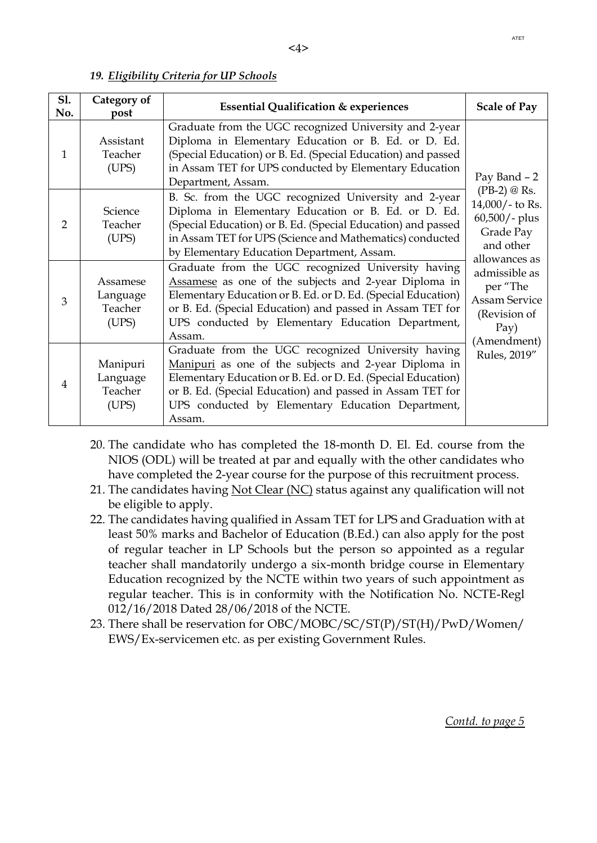#### *19. Eligibility Criteria for UP Schools*

| S1.<br>No.     | Category of<br>post                      | <b>Essential Qualification &amp; experiences</b>                                                                                                                                                                                                                                                        | <b>Scale of Pay</b>                                                                                                                                                                                                          |  |
|----------------|------------------------------------------|---------------------------------------------------------------------------------------------------------------------------------------------------------------------------------------------------------------------------------------------------------------------------------------------------------|------------------------------------------------------------------------------------------------------------------------------------------------------------------------------------------------------------------------------|--|
| 1              | Assistant<br>Teacher<br>(UPS)            | Graduate from the UGC recognized University and 2-year<br>Diploma in Elementary Education or B. Ed. or D. Ed.<br>(Special Education) or B. Ed. (Special Education) and passed<br>in Assam TET for UPS conducted by Elementary Education<br>Department, Assam.                                           | Pay Band - 2<br>$(PB-2) \otimes \text{Rs}.$<br>$14,000/$ - to Rs.<br>$60,500/$ - plus<br>Grade Pay<br>and other<br>allowances as<br>admissible as<br>per "The<br><b>Assam Service</b><br>(Revision of<br>Pay)<br>(Amendment) |  |
| $\overline{2}$ | Science<br>Teacher<br>(UPS)              | B. Sc. from the UGC recognized University and 2-year<br>Diploma in Elementary Education or B. Ed. or D. Ed.<br>(Special Education) or B. Ed. (Special Education) and passed<br>in Assam TET for UPS (Science and Mathematics) conducted<br>by Elementary Education Department, Assam.                   |                                                                                                                                                                                                                              |  |
| 3              | Assamese<br>Language<br>Teacher<br>(UPS) | Graduate from the UGC recognized University having<br>Assamese as one of the subjects and 2-year Diploma in<br>Elementary Education or B. Ed. or D. Ed. (Special Education)<br>or B. Ed. (Special Education) and passed in Assam TET for<br>UPS conducted by Elementary Education Department,<br>Assam. |                                                                                                                                                                                                                              |  |
| 4              | Manipuri<br>Language<br>Teacher<br>(UPS) | Graduate from the UGC recognized University having<br>Manipuri as one of the subjects and 2-year Diploma in<br>Elementary Education or B. Ed. or D. Ed. (Special Education)<br>or B. Ed. (Special Education) and passed in Assam TET for<br>UPS conducted by Elementary Education Department,<br>Assam. | Rules, 2019"                                                                                                                                                                                                                 |  |

- 20. The candidate who has completed the 18-month D. El. Ed. course from the NIOS (ODL) will be treated at par and equally with the other candidates who have completed the 2-year course for the purpose of this recruitment process.
- 21. The candidates having Not Clear (NC) status against any qualification will not be eligible to apply.
- 22. The candidates having qualified in Assam TET for LPS and Graduation with at least 50% marks and Bachelor of Education (B.Ed.) can also apply for the post of regular teacher in LP Schools but the person so appointed as a regular teacher shall mandatorily undergo a six-month bridge course in Elementary Education recognized by the NCTE within two years of such appointment as regular teacher. This is in conformity with the Notification No. NCTE-Regl 012/16/2018 Dated 28/06/2018 of the NCTE.
- 23. There shall be reservation for OBC/MOBC/SC/ST(P)/ST(H)/PwD/Women/ EWS/Ex-servicemen etc. as per existing Government Rules.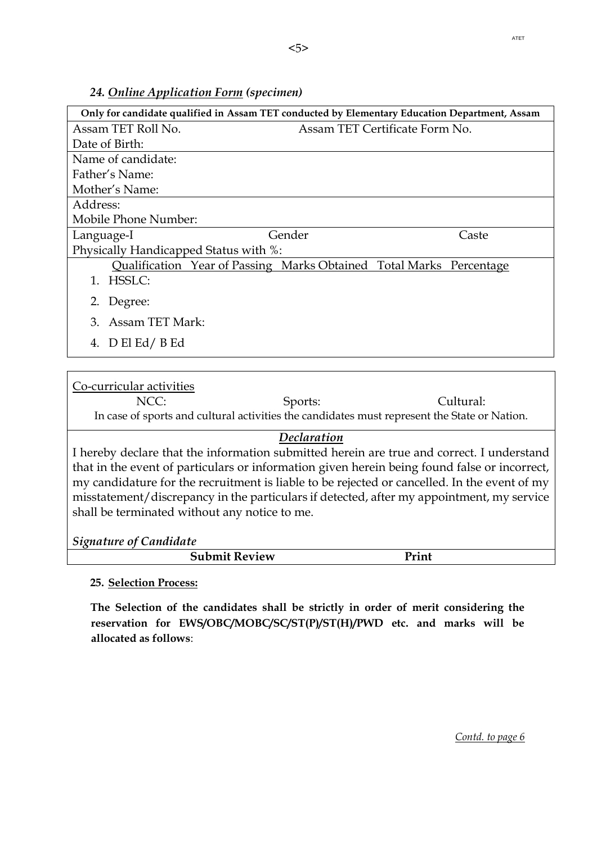## *24. Online Application Form (specimen)*

| Only for candidate qualified in Assam TET conducted by Elementary Education Department, Assam |                                                                     |                                |  |
|-----------------------------------------------------------------------------------------------|---------------------------------------------------------------------|--------------------------------|--|
| Assam TET Roll No.                                                                            |                                                                     | Assam TET Certificate Form No. |  |
| Date of Birth:                                                                                |                                                                     |                                |  |
| Name of candidate:                                                                            |                                                                     |                                |  |
| Father's Name:                                                                                |                                                                     |                                |  |
| Mother's Name:                                                                                |                                                                     |                                |  |
| Address:                                                                                      |                                                                     |                                |  |
| Mobile Phone Number:                                                                          |                                                                     |                                |  |
| Language-I                                                                                    | Gender                                                              | Caste                          |  |
| Physically Handicapped Status with %:                                                         |                                                                     |                                |  |
|                                                                                               | Qualification Year of Passing Marks Obtained Total Marks Percentage |                                |  |
| HSSLC:<br>1.                                                                                  |                                                                     |                                |  |
| Degree:<br>2.                                                                                 |                                                                     |                                |  |
| Assam TET Mark:<br>3                                                                          |                                                                     |                                |  |
| 4. $D$ El Ed/B Ed                                                                             |                                                                     |                                |  |
|                                                                                               |                                                                     |                                |  |

### Co-curricular activities

NCC: Sports: Sports: Cultural: In case of sports and cultural activities the candidates must represent the State or Nation.

# *Declaration*

I hereby declare that the information submitted herein are true and correct. I understand that in the event of particulars or information given herein being found false or incorrect, my candidature for the recruitment is liable to be rejected or cancelled. In the event of my misstatement/discrepancy in the particulars if detected, after my appointment, my service shall be terminated without any notice to me.

*Signature of Candidate*

| $\mathbf{D}$<br>.<br>eview<br>اللقاء ومساحاتها<br>. .<br>---<br>_______ |  |
|-------------------------------------------------------------------------|--|

## **25. Selection Process:**

**The Selection of the candidates shall be strictly in order of merit considering the reservation for EWS/OBC/MOBC/SC/ST(P)/ST(H)/PWD etc. and marks will be allocated as follows**: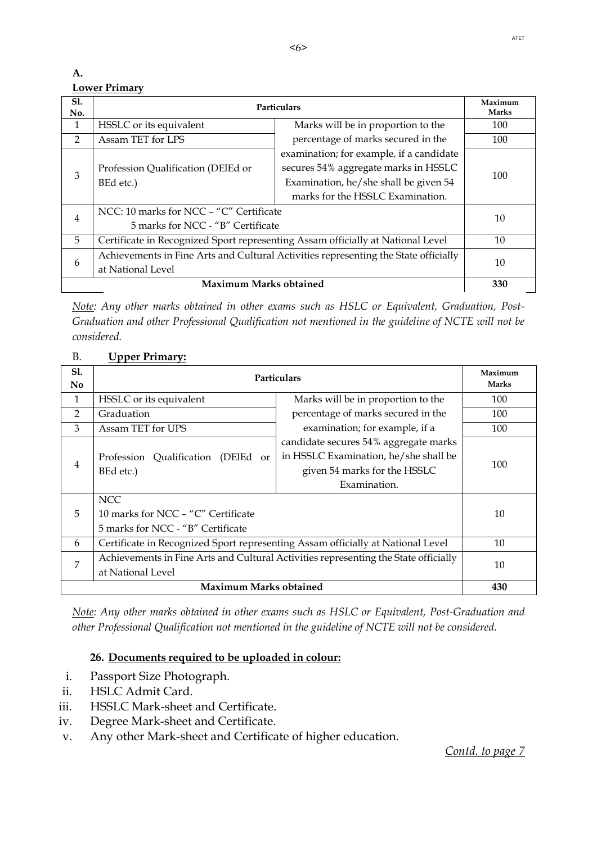### **A. Lower Primary**

| S1.<br>No.                    | Particulars                                                                         |                                          | Maximum<br><b>Marks</b> |  |
|-------------------------------|-------------------------------------------------------------------------------------|------------------------------------------|-------------------------|--|
| $\mathbf{1}$                  | HSSLC or its equivalent                                                             | Marks will be in proportion to the       | 100                     |  |
| $\overline{2}$                | Assam TET for LPS                                                                   | percentage of marks secured in the       | 100                     |  |
|                               |                                                                                     | examination; for example, if a candidate |                         |  |
| 3                             | Profession Qualification (DEIEd or                                                  | secures 54% aggregate marks in HSSLC     |                         |  |
|                               | BEd etc.)                                                                           | Examination, he/she shall be given 54    | 100                     |  |
|                               |                                                                                     | marks for the HSSLC Examination.         |                         |  |
|                               | NCC: 10 marks for NCC – "C" Certificate                                             |                                          | 10                      |  |
| $\overline{4}$                | 5 marks for NCC - "B" Certificate                                                   |                                          |                         |  |
| 5                             | Certificate in Recognized Sport representing Assam officially at National Level     |                                          | 10                      |  |
| 6                             | Achievements in Fine Arts and Cultural Activities representing the State officially |                                          | 10                      |  |
|                               | at National Level                                                                   |                                          |                         |  |
| <b>Maximum Marks obtained</b> |                                                                                     |                                          | 330                     |  |

*Note: Any other marks obtained in other exams such as HSLC or Equivalent, Graduation, Post-Graduation and other Professional Qualification not mentioned in the guideline of NCTE will not be considered.*

# B. **Upper Primary:**

| S1.<br>N <sub>0</sub>         | Particulars                                                                                              |                                                                                                                                | Maximum<br><b>Marks</b> |
|-------------------------------|----------------------------------------------------------------------------------------------------------|--------------------------------------------------------------------------------------------------------------------------------|-------------------------|
| 1                             | HSSLC or its equivalent                                                                                  | Marks will be in proportion to the                                                                                             | 100                     |
| $\overline{2}$                | Graduation                                                                                               | percentage of marks secured in the                                                                                             | 100                     |
| 3                             | Assam TET for UPS                                                                                        | examination; for example, if a                                                                                                 | 100                     |
| 4                             | Profession Qualification (DEIEd or<br>BEd etc.)<br><b>NCC</b>                                            | candidate secures 54% aggregate marks<br>in HSSLC Examination, he/she shall be<br>given 54 marks for the HSSLC<br>Examination. | 100                     |
| 5                             | 10 marks for NCC - "C" Certificate<br>5 marks for NCC - "B" Certificate                                  |                                                                                                                                | 10                      |
| 6                             | Certificate in Recognized Sport representing Assam officially at National Level                          |                                                                                                                                | 10                      |
| 7                             | Achievements in Fine Arts and Cultural Activities representing the State officially<br>at National Level |                                                                                                                                | 10                      |
| <b>Maximum Marks obtained</b> |                                                                                                          |                                                                                                                                | 430                     |

*Note: Any other marks obtained in other exams such as HSLC or Equivalent, Post-Graduation and other Professional Qualification not mentioned in the guideline of NCTE will not be considered.*

# **26. Documents required to be uploaded in colour:**

- i. Passport Size Photograph.
- ii. HSLC Admit Card.
- iii. HSSLC Mark-sheet and Certificate.
- iv. Degree Mark-sheet and Certificate.
- v. Any other Mark-sheet and Certificate of higher education.